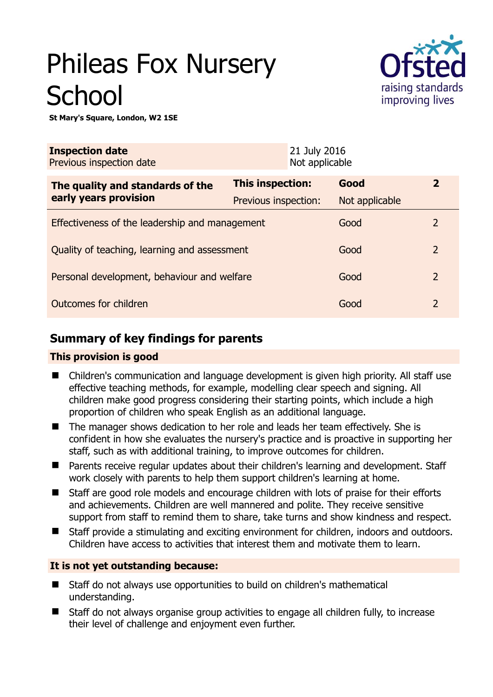# Phileas Fox Nursery **School**



**St Mary's Square, London, W2 1SE** 

| <b>Inspection date</b><br>Previous inspection date |                      | 21 July 2016<br>Not applicable |                |                |
|----------------------------------------------------|----------------------|--------------------------------|----------------|----------------|
| The quality and standards of the                   | This inspection:     |                                | Good           | $\overline{2}$ |
| early years provision                              | Previous inspection: |                                | Not applicable |                |
| Effectiveness of the leadership and management     |                      |                                | Good           | 2              |
| Quality of teaching, learning and assessment       |                      |                                | Good           | $\overline{2}$ |
| Personal development, behaviour and welfare        |                      |                                | Good           | $\overline{2}$ |
| Outcomes for children                              |                      |                                | Good           | $\overline{2}$ |

# **Summary of key findings for parents**

## **This provision is good**

- Children's communication and language development is given high priority. All staff use effective teaching methods, for example, modelling clear speech and signing. All children make good progress considering their starting points, which include a high proportion of children who speak English as an additional language.
- The manager shows dedication to her role and leads her team effectively. She is confident in how she evaluates the nursery's practice and is proactive in supporting her staff, such as with additional training, to improve outcomes for children.
- Parents receive regular updates about their children's learning and development. Staff work closely with parents to help them support children's learning at home.
- Staff are good role models and encourage children with lots of praise for their efforts and achievements. Children are well mannered and polite. They receive sensitive support from staff to remind them to share, take turns and show kindness and respect.
- Staff provide a stimulating and exciting environment for children, indoors and outdoors. Children have access to activities that interest them and motivate them to learn.

## **It is not yet outstanding because:**

- Staff do not always use opportunities to build on children's mathematical understanding.
- Staff do not always organise group activities to engage all children fully, to increase their level of challenge and enjoyment even further.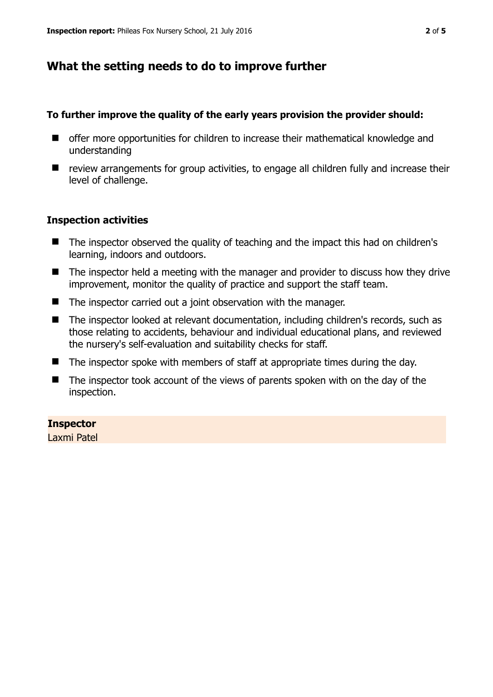# **What the setting needs to do to improve further**

## **To further improve the quality of the early years provision the provider should:**

- $\blacksquare$  offer more opportunities for children to increase their mathematical knowledge and understanding
- review arrangements for group activities, to engage all children fully and increase their level of challenge.

## **Inspection activities**

- The inspector observed the quality of teaching and the impact this had on children's learning, indoors and outdoors.
- The inspector held a meeting with the manager and provider to discuss how they drive improvement, monitor the quality of practice and support the staff team.
- The inspector carried out a joint observation with the manager.
- The inspector looked at relevant documentation, including children's records, such as those relating to accidents, behaviour and individual educational plans, and reviewed the nursery's self-evaluation and suitability checks for staff.
- $\blacksquare$  The inspector spoke with members of staff at appropriate times during the day.
- The inspector took account of the views of parents spoken with on the day of the inspection.

## **Inspector**

Laxmi Patel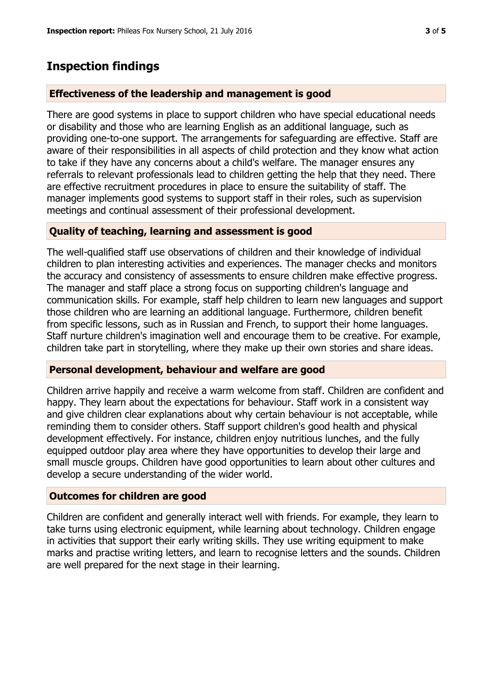## **Inspection findings**

#### **Effectiveness of the leadership and management is good**

There are good systems in place to support children who have special educational needs or disability and those who are learning English as an additional language, such as providing one-to-one support. The arrangements for safeguarding are effective. Staff are aware of their responsibilities in all aspects of child protection and they know what action to take if they have any concerns about a child's welfare. The manager ensures any referrals to relevant professionals lead to children getting the help that they need. There are effective recruitment procedures in place to ensure the suitability of staff. The manager implements good systems to support staff in their roles, such as supervision meetings and continual assessment of their professional development.

#### **Quality of teaching, learning and assessment is good**

The well-qualified staff use observations of children and their knowledge of individual children to plan interesting activities and experiences. The manager checks and monitors the accuracy and consistency of assessments to ensure children make effective progress. The manager and staff place a strong focus on supporting children's language and communication skills. For example, staff help children to learn new languages and support those children who are learning an additional language. Furthermore, children benefit from specific lessons, such as in Russian and French, to support their home languages. Staff nurture children's imagination well and encourage them to be creative. For example, children take part in storytelling, where they make up their own stories and share ideas.

#### **Personal development, behaviour and welfare are good**

Children arrive happily and receive a warm welcome from staff. Children are confident and happy. They learn about the expectations for behaviour. Staff work in a consistent way and give children clear explanations about why certain behaviour is not acceptable, while reminding them to consider others. Staff support children's good health and physical development effectively. For instance, children enjoy nutritious lunches, and the fully equipped outdoor play area where they have opportunities to develop their large and small muscle groups. Children have good opportunities to learn about other cultures and develop a secure understanding of the wider world.

#### **Outcomes for children are good**

Children are confident and generally interact well with friends. For example, they learn to take turns using electronic equipment, while learning about technology. Children engage in activities that support their early writing skills. They use writing equipment to make marks and practise writing letters, and learn to recognise letters and the sounds. Children are well prepared for the next stage in their learning.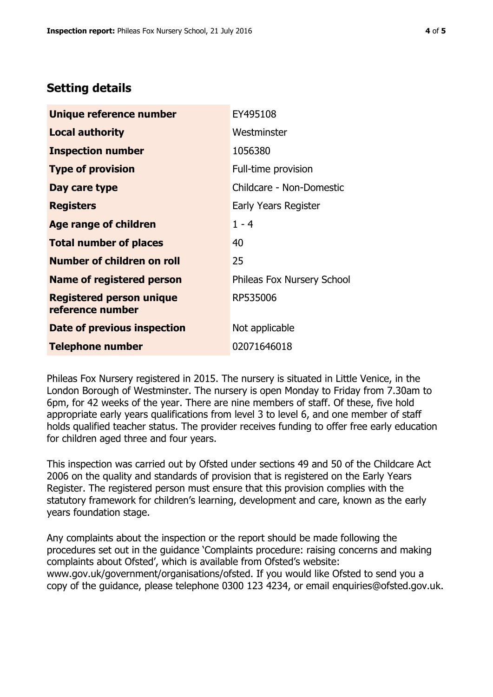# **Setting details**

| Unique reference number                             | EY495108                          |  |  |
|-----------------------------------------------------|-----------------------------------|--|--|
| Local authority                                     | Westminster                       |  |  |
| <b>Inspection number</b>                            | 1056380                           |  |  |
| <b>Type of provision</b>                            | Full-time provision               |  |  |
| Day care type                                       | Childcare - Non-Domestic          |  |  |
| <b>Registers</b>                                    | Early Years Register              |  |  |
| <b>Age range of children</b>                        | $1 - 4$                           |  |  |
| <b>Total number of places</b>                       | 40                                |  |  |
| <b>Number of children on roll</b>                   | 25                                |  |  |
| <b>Name of registered person</b>                    | <b>Phileas Fox Nursery School</b> |  |  |
| <b>Registered person unique</b><br>reference number | RP535006                          |  |  |
| Date of previous inspection                         | Not applicable                    |  |  |
| <b>Telephone number</b>                             | 02071646018                       |  |  |

Phileas Fox Nursery registered in 2015. The nursery is situated in Little Venice, in the London Borough of Westminster. The nursery is open Monday to Friday from 7.30am to 6pm, for 42 weeks of the year. There are nine members of staff. Of these, five hold appropriate early years qualifications from level 3 to level 6, and one member of staff holds qualified teacher status. The provider receives funding to offer free early education for children aged three and four years.

This inspection was carried out by Ofsted under sections 49 and 50 of the Childcare Act 2006 on the quality and standards of provision that is registered on the Early Years Register. The registered person must ensure that this provision complies with the statutory framework for children's learning, development and care, known as the early years foundation stage.

Any complaints about the inspection or the report should be made following the procedures set out in the guidance 'Complaints procedure: raising concerns and making complaints about Ofsted', which is available from Ofsted's website: www.gov.uk/government/organisations/ofsted. If you would like Ofsted to send you a copy of the guidance, please telephone 0300 123 4234, or email enquiries@ofsted.gov.uk.